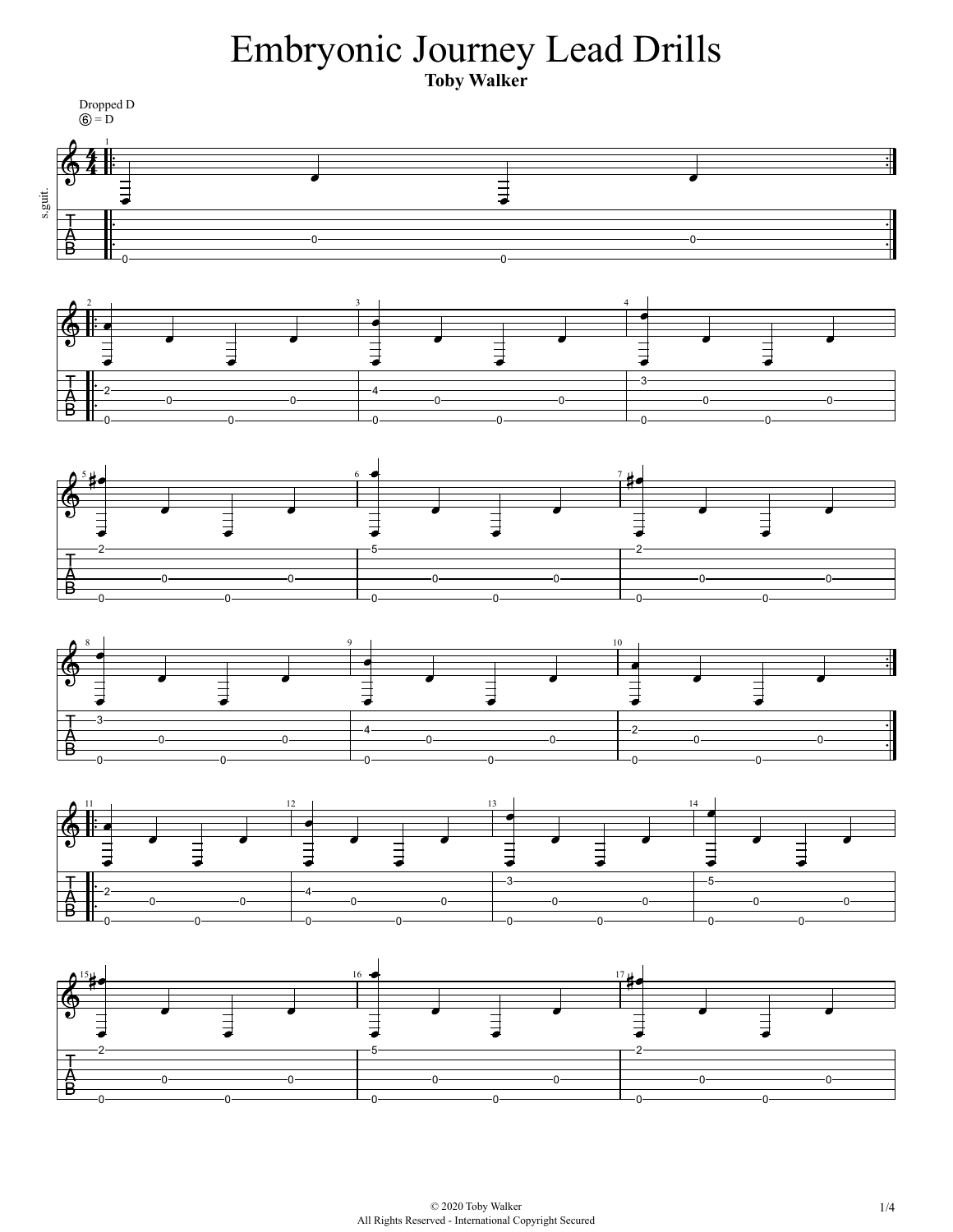## Embryonic Journey Lead Drills

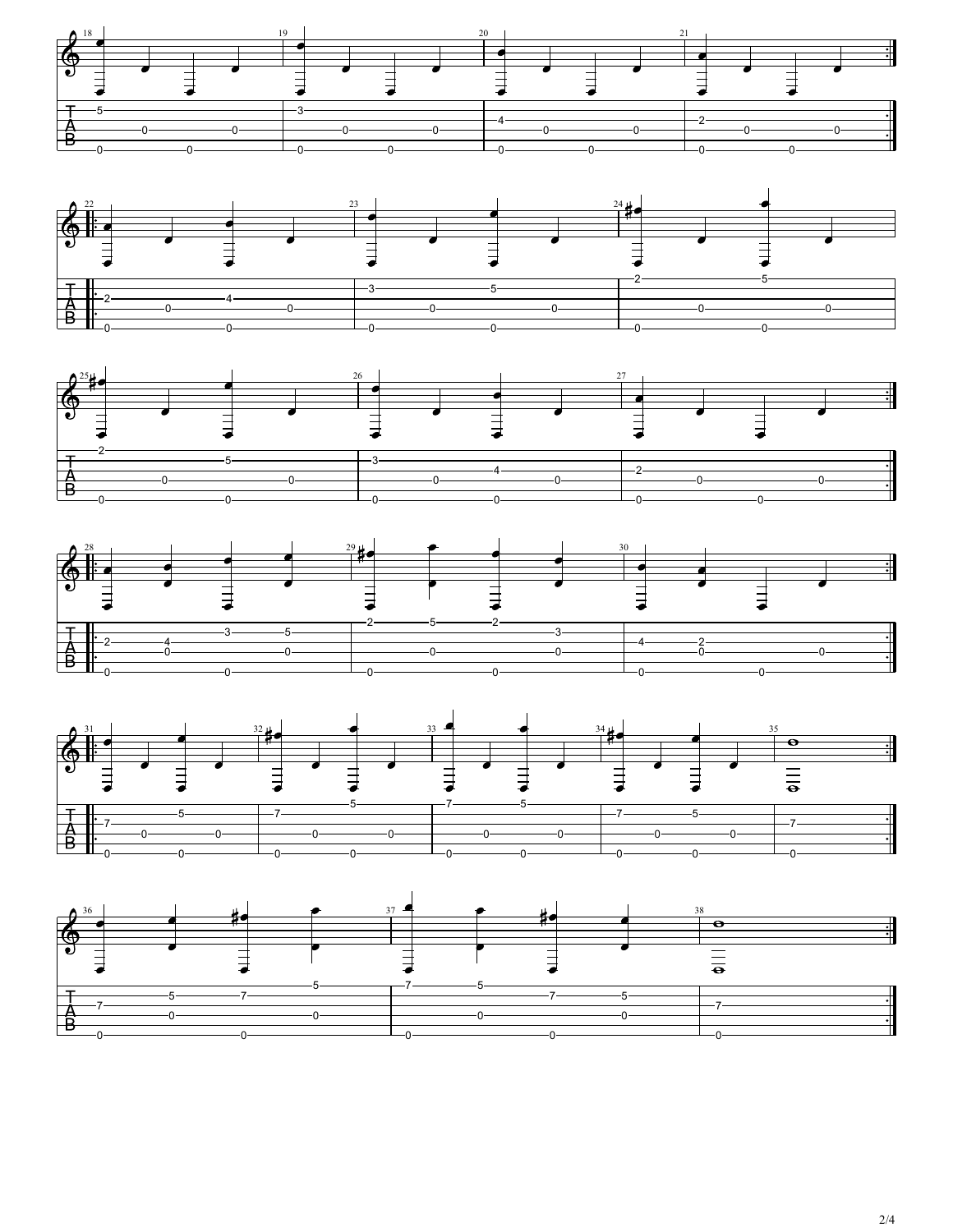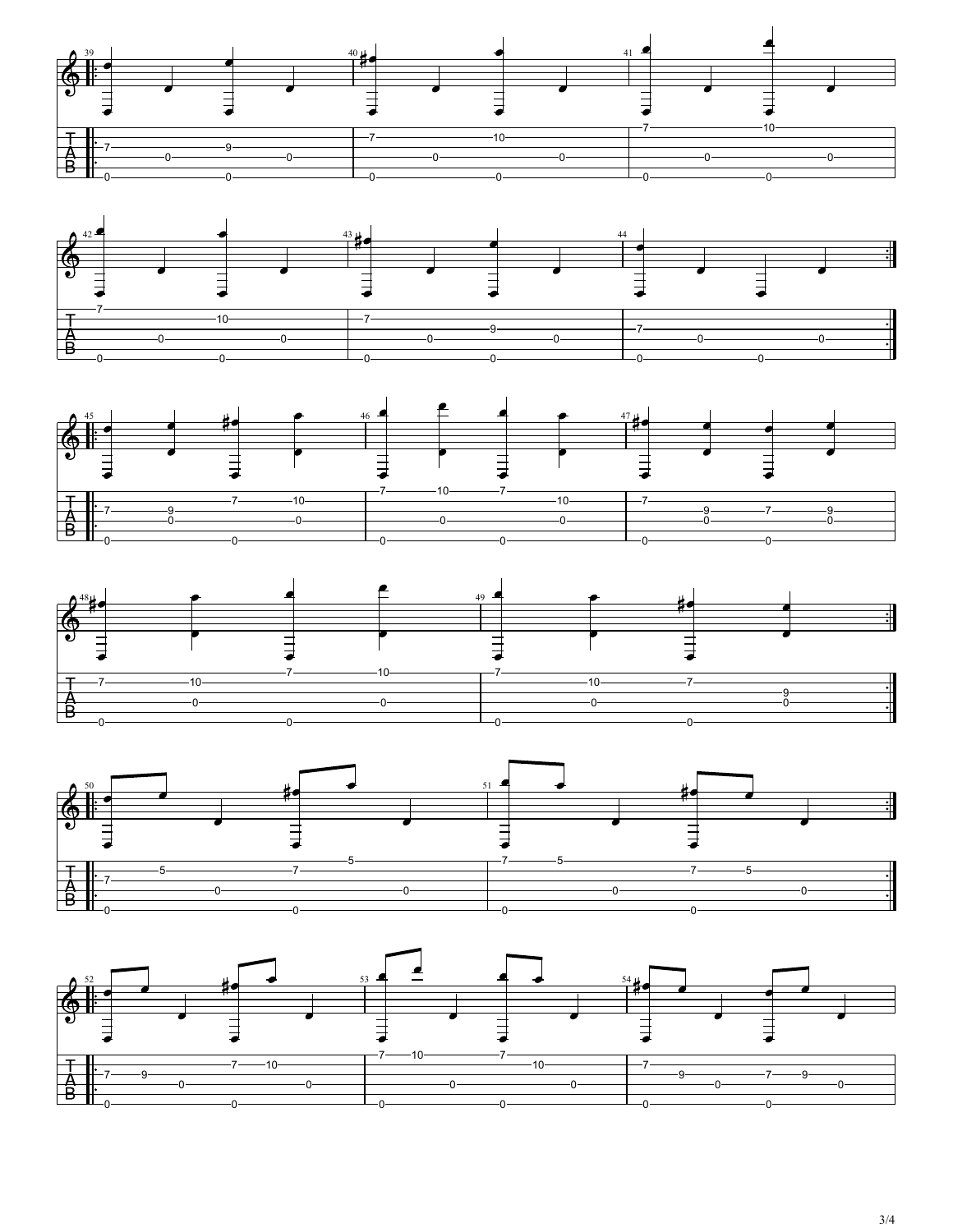

3/4